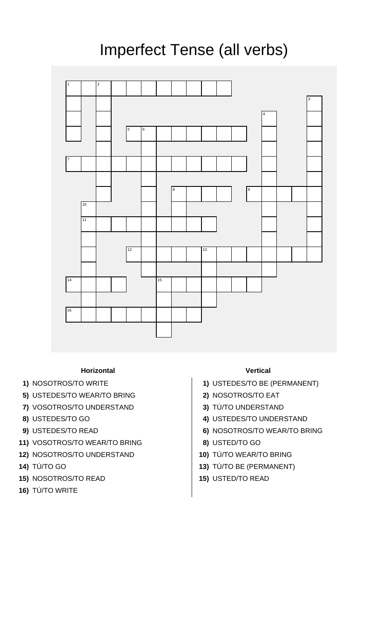## Imperfect Tense (all verbs)



## **Horizontal Vertical**

- 
- **5)** USTEDES/TO WEAR/TO BRING **2)** NOSOTROS/TO EAT
- **7)** VOSOTROS/TO UNDERSTAND **3)** TÚ/TO UNDERSTAND
- 
- 
- **11)** VOSOTROS/TO WEAR/TO BRING **8)** USTED/TO GO
- **12)** NOSOTROS/TO UNDERSTAND **10)** TÚ/TO WEAR/TO BRING
- 
- **15)** NOSOTROS/TO READ **15)** USTED/TO READ
- **16)** TÚ/TO WRITE

- **1)** NOSOTROS/TO WRITE **1)** USTEDES/TO BE (PERMANENT)
	-
	-
- **8)** USTEDES/TO GO **4)** USTEDES/TO UNDERSTAND
- **9)** USTEDES/TO READ **6)** NOSOTROS/TO WEAR/TO BRING
	-
	-
- **14)** TÚ/TO GO **13)** TÚ/TO BE (PERMANENT)
	-